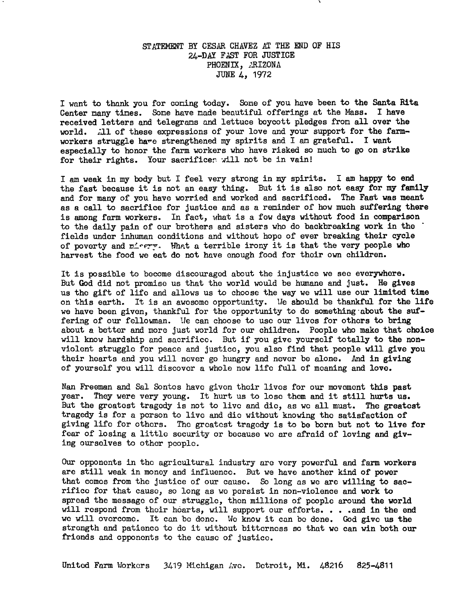### STATEMENT BY CESAR CHAVEZ AT THE END OF HIS 24-DAY FAST FOR JUSTICE PHOENIX, ARIZONA JUNE 4, 1972

I want to thank you for coming today. Some of you have been to the Santa Rita Center many times. Some have made beautiful offerings at the Mass. I have received letters and telegrams and lettuce boycott pledges from all over the world. .11 of these expressions of your love and your support for the farmworkers struggle have strengthened my spirits and I am grateful. I want especially to honor the farm workers who have risked so much to go on strike for their rights. Your sacrifices will not be in vain!

I am weak in my body but I feel very strong in my spirits. I am happy to end the fast because it is not an easy thing. But it is also not easy for my family and for many of you have worried and worked and sacrificed. The Fast was meant as a call to sacrifice for justice and as a reminder of how much suffering there is among farm workers. In fact, what is a few days without food in comparison to the daily pain of our brothers and sisters who do backbreaking work in the fields under inhuman conditions and without hope of ever breaking their cycle of poverty and misery. What a terrible irony it is that the very people who harvest the food we eat do not have enough food for their own children.

It is possible to become discouraged about the injustice we see everywhere. But God did not promise us that the world would be humane and just. He gives us the gift of life and allows us to choose the way we will use our limited time on this earth. It is an awesome opportunity, lie should be thankful for the life we have been given, thankful for the opportunity to do something about the suffering of our fellowman. We can choose to use our lives for others to bring about a better and more just world for our children. People who make that choice will know hardship and sacrifice. But if you give yourself totally to the nonviolent struggle for peace and justice, you also find that people will give you their hearts and you will never go hungry and never be alone. And in giving of yourself you will discover a whole new life full of moaning and love.

Nan Freeman and Sal Sontos have given their lives for our movement this past year. They were very young. It hurt us to lose them and it still hurts us. But the greatest tragedy is not to live and die, as we all must. The greatest tragedy is for a person to live and die without knowing the satisfaction of giving life for others. The greatest tragedy is to be born but not to live for fear of losing a little security or because we are afraid of loving and giving ourselves to other people.

Our opponents in the agricultural industry are very powerful and farm workers are still weak in money and influence. But we have another kind of power that comes from the justice of our cause. So long as we are willing to sacrifico for that cause, so long as we persist in non-violence and work to spread the message of our struggle, then millions of people around the world will respond from their hearts, will support our efforts. . . . and in the end we will overcome. It can be done. We know it can be done. God give us the strength and patience to do it without bitterness so that we can win both our friends and opponents to the cause of justice.

United Farm Workers 3419 Michigan Ave. Detroit, Mi. 48216 825-4811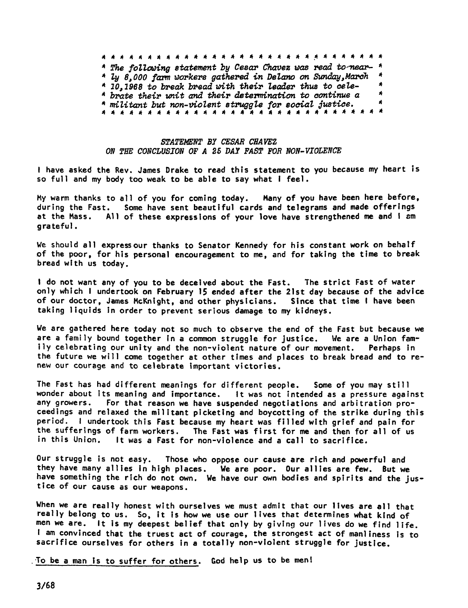**政府并决处决法法府将将并将将将将将将将将将将将将将将将将将将将** \* The following statement by Cesar Chavez was read to-near- \* \* ly 8,000 farm workers gathered in Delano on Sunday, March  $*$  10,1968 to break bread with their leader thus to cele- $*$ brate their unit and their determination to oontinue a militant but non-violent struggle for social justice.

#### STATEMENT BY CESAR CHAVEZ ON THE CONCLUSION OF A 25 DAY PAST FOR NON-VIOLENCE

I have asked the Rev. James Drake to read this statement to you because my heart is so full and my body too weak to be able to say what I feel.

My warm thanks to all of you for coming today. Many of you have been here before, during the Fast. Some have sent beautiful cards and telegrams and made offerings at the Mass. All of these expressions of your love have strengthened me and I am grateful.

We should all express our thanks to Senator Kennedy for his constant work on behalf of the poor, for his personal encouragement to me, and for taking the time to break bread with us today.

I do not want any of you to be deceived about the Fast. The strict Fast of water only which I undertook on February 15 ended after the 21st day because of the advice of our doctor, James McKnight, and other physicians. Since that time I have been taking liquids in order to prevent serious damage to my kidneys.

We are gathered here today not so much to observe the end of the Fast but because we are a family bound together in a common struggle for justice. We are a Union family celebrating our unity and the non-violent nature of our movement. Perhaps in the future we will come together at other times and places to break bread and to renew our courage and to celebrate important victories.

The Fast has had different meanings for different people. Some of you may still wonder about its meaning and importance. It was not intended as a pressure against<br>any growers. For that reason we have suspended negotiations and arbitration pro-For that reason we have suspended negotiations and arbitration proceedings and relaxed the militant picketing and boycotting of the strike during this period. I undertook this Fast because my heart was filled with grief and pain for the sufferings of farm workers. The Fast was first for me and then for all of us in this Union. It was a Fast for non-violence and a call to sacrifice.

Our struggle is not easy. Those who oppose our cause are rich and powerful and they have many allies in high places. We are poor. Our allies are few. But we have something the rich do not own. We have our own bodies and spirits and the justice of our cause as our weapons.

When we are really honest with ourselves we must admit that our lives are all that really belong to us. So, it is how we use our lives that determines what kind of men we are. It is my deepest belief that only by giving our lives do we find life. I am convinced that the truest act of courage, the strongest act of manliness is to sacrifice ourselves for others in a totally non-violent struggle for justice.

To be a man is to suffer for others. God help us to be men!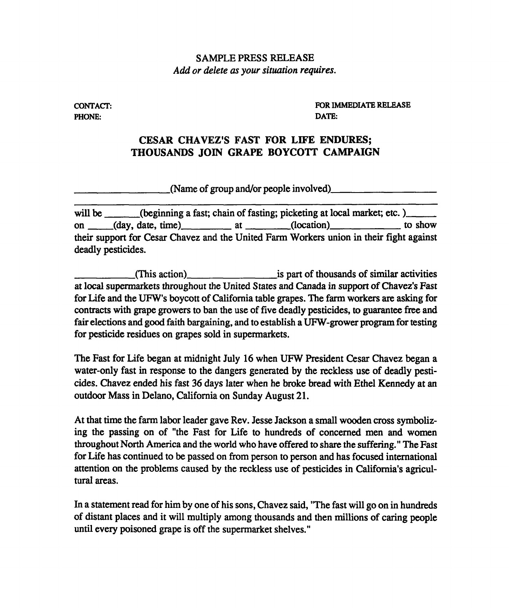## SAMPLE PRESS RELEASE Add or delete as your situation requires.

CONTACT: PHONE:

FOR IMMEDIATE RELEASE DATE:

## CESAR CHAVEZ'S FAST FOR LIFE ENDURES; THOUSANDS JOIN GRAPE BOYCOTT CAMPAIGN

(Name of group and/or people involved)

will be (beginning a fast; chain of fasting; picketing at local market; etc. ) on (day, date, time) at (location) to show their support for Cesar Chavez and the United Farm Workers union in their fight against deadly pesticides.

(This action) is part of thousands of similar activities at local supermarkets throughout the United States and Canada in support of Chavez's Fast for Life and the UFW's boycott of California table grapes. The farm workers are asking for contracts with grape growers to ban the use of five deadly pesticides, to guarantee free and fair elections and good faith bargaining, and to establish a UFW-grower program for testing for pesticide residues on grapes sold in supermarkets.

The Fast for Life began at midnight July 16 when UFW President Cesar Chavez began a water-only fast in response to the dangers generated by the reckless use of deadly pesticides. Chavez ended his fast 36 days later when he broke bread with Ethel Kennedy at an outdoor Mass in Delano, California on Sunday August 21.

At that time the farm labor leader gave Rev. Jesse Jackson a small wooden cross symbolizing the passing on of "the Fast for Life to hundreds of concerned men and women throughout North America and the world who have offered to share the suffering." The Fast for Life has continued to be passed on from person to person and has focused international attention on the problems caused by the reckless ue of pesticides in California's agricultural areas.

In a statement read for him by one of his sons, Chavez said, "The fast will go on in hundreds of distant places and it will multiply among thousands and then millions of caring people until every poisoned grape is off the supermarket shelves."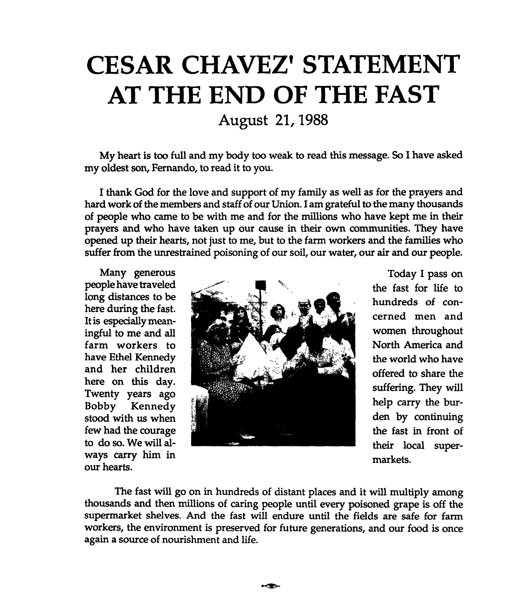# CESAR CHAVEZ' STATEMENT AT THE END OF THE FAST

August 21, 1988

My heart is too full and my body too weak to read this message. So I have asked my oldest son, Fernando, to read it to you.

I thank God for the love and support of my family as well as for the prayers and hard work of the members and staff of our Union. I am grateful to the many thousands of people who came to be with me and for the millions who have kept me in their prayers and who have taken up our cause in their own communities. They have opened up their hearts, not just to me, but to the farm workers and the families who suffer from the unrestrained poisoning of our soil, our water, our air and our people.

Many generous people have traveled long distances to be here during the fast. It is especially meaningful to me and all farm workers to have Ethel Kennedy and her children here on this day. Twenty years ago Bobby Kennedy stood with us when few had the courage to do so. We will always carry him in our hearts.



Today I pass on the fast for life to hundreds of concerned men and women throughout North America and the world who have offered to share the suffering. They will help carry the burden by continuing the fast in front of their local supermarkets.

The fast will go on in hundreds of distant places and it will multiply among thousands and then millions of caring people until every poisoned grape is off the supermarket shelves. And the fast will endure until the fields are safe for farm workers, the environment is preserved for future generations, and our food is once again a source of nourishment and life.